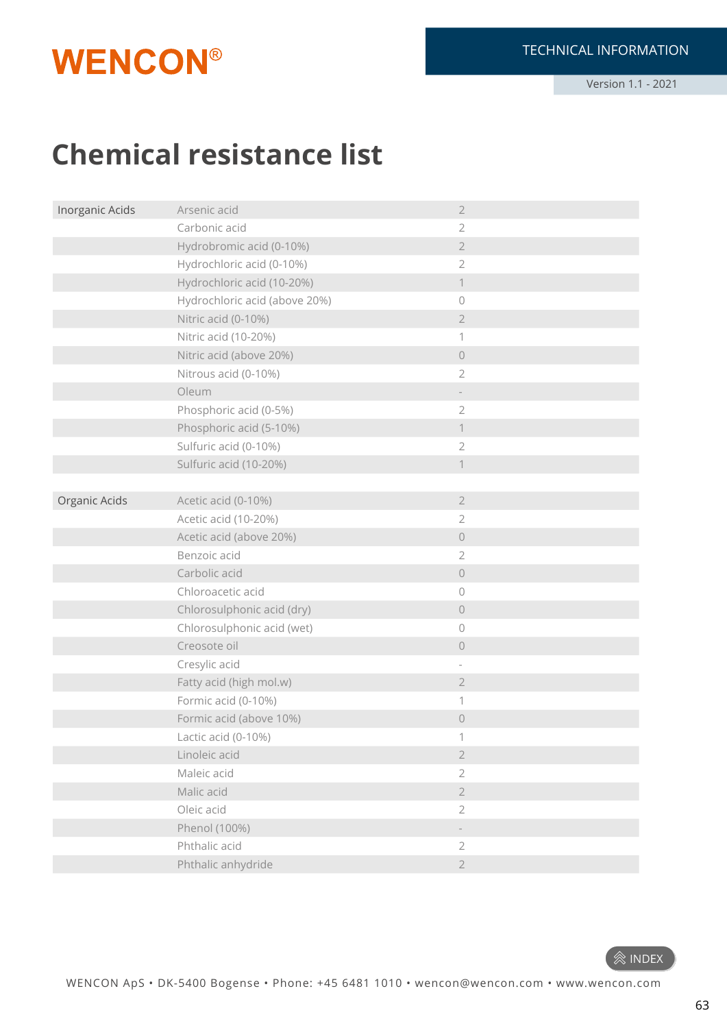## **WENCON®**

Version 1.1 - 2021

## **Chemical resistance list**

| Inorganic Acids | Arsenic acid                  | $\overline{2}$      |
|-----------------|-------------------------------|---------------------|
|                 | Carbonic acid                 | $\overline{2}$      |
|                 | Hydrobromic acid (0-10%)      | $\overline{2}$      |
|                 | Hydrochloric acid (0-10%)     | $\overline{2}$      |
|                 | Hydrochloric acid (10-20%)    | $\mathbf 1$         |
|                 | Hydrochloric acid (above 20%) | $\bigcirc$          |
|                 | Nitric acid (0-10%)           | $\sqrt{2}$          |
|                 | Nitric acid (10-20%)          | 1                   |
|                 | Nitric acid (above 20%)       | $\bigcirc$          |
|                 | Nitrous acid (0-10%)          | $\overline{2}$      |
|                 | Oleum                         |                     |
|                 | Phosphoric acid (0-5%)        | $\overline{2}$      |
|                 | Phosphoric acid (5-10%)       | $\mathbf 1$         |
|                 | Sulfuric acid (0-10%)         | $\mathbf{2}$        |
|                 | Sulfuric acid (10-20%)        | $\mathbf 1$         |
|                 |                               |                     |
| Organic Acids   | Acetic acid (0-10%)           | $\overline{2}$      |
|                 | Acetic acid (10-20%)          | $\overline{2}$      |
|                 | Acetic acid (above 20%)       | $\bigcirc$          |
|                 | Benzoic acid                  | $\overline{2}$      |
|                 | Carbolic acid                 | $\bigcirc$          |
|                 | Chloroacetic acid             | $\circ$             |
|                 | Chlorosulphonic acid (dry)    | $\bigcirc$          |
|                 | Chlorosulphonic acid (wet)    | $\circ$             |
|                 | Creosote oil                  | $\circlearrowright$ |
|                 | Cresylic acid                 |                     |
|                 | Fatty acid (high mol.w)       | $\sqrt{2}$          |
|                 | Formic acid (0-10%)           | 1                   |
|                 | Formic acid (above 10%)       | $\bigcirc$          |
|                 | Lactic acid (0-10%)           | 1                   |
|                 | Linoleic acid                 | $\sqrt{2}$          |
|                 | Maleic acid                   | $\overline{2}$      |
|                 | Malic acid                    | $\sqrt{2}$          |
|                 | Oleic acid                    | $\mathbf{2}$        |
|                 | Phenol (100%)                 |                     |
|                 | Phthalic acid                 | $\sqrt{2}$          |
|                 | Phthalic anhydride            | $\overline{2}$      |